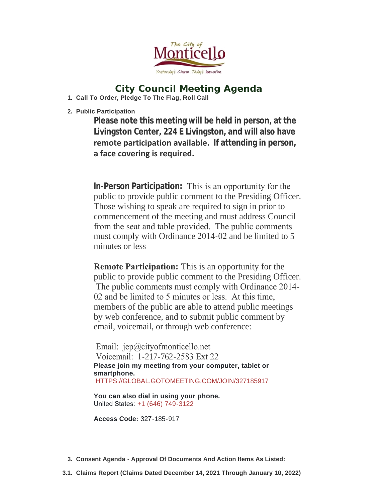

# **City Council Meeting Agenda**

**Call To Order, Pledge To The Flag, Roll Call 1.**

**Public Participation 2.**

**Please note this meeting will be held in person, at the Livingston Center, 224 E Livingston, and will also have remote participation available. If attending in person, a face covering is required.** 

**In-Person Participation:** This is an opportunity for the public to provide public comment to the Presiding Officer. Those wishing to speak are required to sign in prior to commencement of the meeting and must address Council from the seat and table provided. The public comments must comply with Ordinance 2014-02 and be limited to 5 minutes or less

**Remote Participation:** This is an opportunity for the public to provide public comment to the Presiding Officer. The public comments must comply with Ordinance 2014- 02 and be limited to 5 minutes or less. At this time, members of the public are able to attend public meetings by web conference, and to submit public comment by email, voicemail, or through web conference:

Email: jep@cityofmonticello.net Voicemail: 1-217-762-2583 Ext 22 **Please join my meeting from your computer, tablet or smartphone.** [HTTPS://GLOBAL.GOTOMEETING.COM/JOIN/327185917](https://global.gotomeeting.com/join/327185917)

**You can also dial in using your phone.** United States: [+1 \(646\) 749-3122](tel:+16467493122,,327185917)

**Access Code:** 327-185-917

- **Consent Agenda Approval Of Documents And Action Items As Listed: 3.**
- **Claims Report (Claims Dated December 14, 2021 Through January 10, 2022) 3.1.**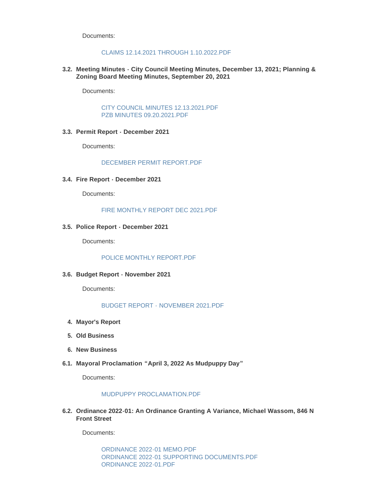Documents:

## [CLAIMS 12.14.2021 THROUGH 1.10.2022.PDF](https://www.cityofmonticello.net/AgendaCenter/ViewFile/Item/5936?fileID=3739)

**Meeting Minutes - City Council Meeting Minutes, December 13, 2021; Planning & 3.2. Zoning Board Meeting Minutes, September 20, 2021**

Documents:

[CITY COUNCIL MINUTES 12.13.2021.PDF](https://www.cityofmonticello.net/AgendaCenter/ViewFile/Item/5929?fileID=3728) [PZB MINUTES 09.20.2021.PDF](https://www.cityofmonticello.net/AgendaCenter/ViewFile/Item/5929?fileID=3729)

#### **Permit Report - December 2021 3.3.**

Documents:

[DECEMBER PERMIT REPORT.PDF](https://www.cityofmonticello.net/AgendaCenter/ViewFile/Item/5926?fileID=3725)

**Fire Report - December 2021 3.4.**

Documents:

[FIRE MONTHLY REPORT DEC 2021.PDF](https://www.cityofmonticello.net/AgendaCenter/ViewFile/Item/5924?fileID=3723)

#### **Police Report - December 2021 3.5.**

Documents:

[POLICE MONTHLY REPORT.PDF](https://www.cityofmonticello.net/AgendaCenter/ViewFile/Item/5923?fileID=3722)

#### **Budget Report - November 2021 3.6.**

Documents:

# [BUDGET REPORT - NOVEMBER 2021.PDF](https://www.cityofmonticello.net/AgendaCenter/ViewFile/Item/5925?fileID=3724)

- **Mayor's Report 4.**
- **Old Business 5.**
- **New Business 6.**
- **Mayoral Proclamation "April 3, 2022 As Mudpuppy Day" 6.1.**

Documents:

## [MUDPUPPY PROCLAMATION.PDF](https://www.cityofmonticello.net/AgendaCenter/ViewFile/Item/5935?fileID=3736)

**Ordinance 2022-01: An Ordinance Granting A Variance, Michael Wassom, 846 N 6.2. Front Street** 

Documents:

[ORDINANCE 2022-01 MEMO.PDF](https://www.cityofmonticello.net/AgendaCenter/ViewFile/Item/5932?fileID=3733) [ORDINANCE 2022-01 SUPPORTING DOCUMENTS.PDF](https://www.cityofmonticello.net/AgendaCenter/ViewFile/Item/5932?fileID=3734) [ORDINANCE 2022-01.PDF](https://www.cityofmonticello.net/AgendaCenter/ViewFile/Item/5932?fileID=3735)